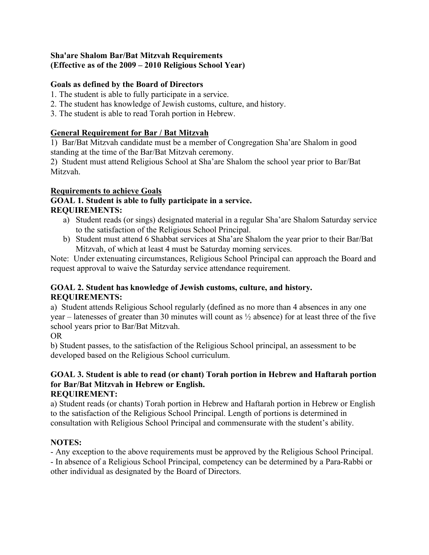# **Sha'are Shalom Bar/Bat Mitzvah Requirements (Effective as of the 2009 – 2010 Religious School Year)**

# **Goals as defined by the Board of Directors**

- 1. The student is able to fully participate in a service.
- 2. The student has knowledge of Jewish customs, culture, and history.
- 3. The student is able to read Torah portion in Hebrew.

## **General Requirement for Bar / Bat Mitzvah**

1) Bar/Bat Mitzvah candidate must be a member of Congregation Sha'are Shalom in good standing at the time of the Bar/Bat Mitzvah ceremony.

2) Student must attend Religious School at Sha'are Shalom the school year prior to Bar/Bat Mitzvah.

## **Requirements to achieve Goals**

## **GOAL 1. Student is able to fully participate in a service. REQUIREMENTS:**

- a) Student reads (or sings) designated material in a regular Sha'are Shalom Saturday service to the satisfaction of the Religious School Principal.
- b) Student must attend 6 Shabbat services at Sha'are Shalom the year prior to their Bar/Bat Mitzvah, of which at least 4 must be Saturday morning services.

Note: Under extenuating circumstances, Religious School Principal can approach the Board and request approval to waive the Saturday service attendance requirement.

## **GOAL 2. Student has knowledge of Jewish customs, culture, and history. REQUIREMENTS:**

a) Student attends Religious School regularly (defined as no more than 4 absences in any one year – latenesses of greater than 30 minutes will count as ½ absence) for at least three of the five school years prior to Bar/Bat Mitzvah.

OR

b) Student passes, to the satisfaction of the Religious School principal, an assessment to be developed based on the Religious School curriculum.

# **GOAL 3. Student is able to read (or chant) Torah portion in Hebrew and Haftarah portion for Bar/Bat Mitzvah in Hebrew or English.**

# **REQUIREMENT:**

a) Student reads (or chants) Torah portion in Hebrew and Haftarah portion in Hebrew or English to the satisfaction of the Religious School Principal. Length of portions is determined in consultation with Religious School Principal and commensurate with the student's ability.

# **NOTES:**

- Any exception to the above requirements must be approved by the Religious School Principal. - In absence of a Religious School Principal, competency can be determined by a Para-Rabbi or other individual as designated by the Board of Directors.